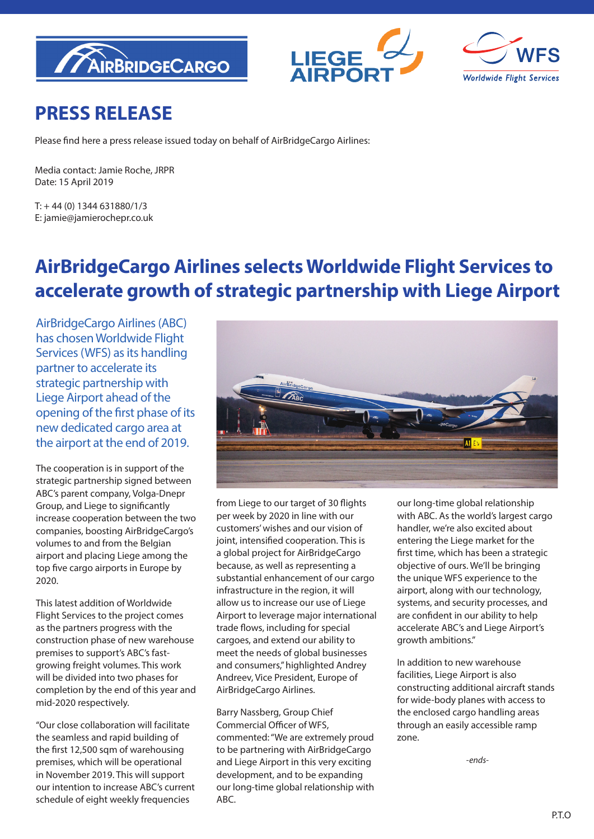





# **PRESS RELEASE**

Please find here a press release issued today on behalf of AirBridgeCargo Airlines:

Media contact: Jamie Roche, JRPR Date: 15 April 2019

 $T: +44(0)$  1344 631880/1/3 E: jamie@jamierochepr.co.uk

# **AirBridgeCargo Airlines selects Worldwide Flight Services to accelerate growth of strategic partnership with Liege Airport**

AirBridgeCargo Airlines (ABC) has chosen Worldwide Flight Services (WFS) as its handling partner to accelerate its strategic partnership with Liege Airport ahead of the opening of the first phase of its new dedicated cargo area at the airport at the end of 2019.

The cooperation is in support of the strategic partnership signed between ABC's parent company, Volga-Dnepr Group, and Liege to significantly increase cooperation between the two companies, boosting AirBridgeCargo's volumes to and from the Belgian airport and placing Liege among the top five cargo airports in Europe by 2020.

This latest addition of Worldwide Flight Services to the project comes as the partners progress with the construction phase of new warehouse premises to support's ABC's fastgrowing freight volumes. This work will be divided into two phases for completion by the end of this year and mid-2020 respectively.

"Our close collaboration will facilitate the seamless and rapid building of the first 12,500 sqm of warehousing premises, which will be operational in November 2019. This will support our intention to increase ABC's current schedule of eight weekly frequencies



from Liege to our target of 30 flights per week by 2020 in line with our customers' wishes and our vision of joint, intensified cooperation. This is a global project for AirBridgeCargo because, as well as representing a substantial enhancement of our cargo infrastructure in the region, it will allow us to increase our use of Liege Airport to leverage major international trade flows, including for special cargoes, and extend our ability to meet the needs of global businesses and consumers," highlighted Andrey Andreev, Vice President, Europe of AirBridgeCargo Airlines.

Barry Nassberg, Group Chief Commercial Officer of WFS, commented: "We are extremely proud to be partnering with AirBridgeCargo and Liege Airport in this very exciting development, and to be expanding our long-time global relationship with ABC.

our long-time global relationship with ABC. As the world's largest cargo handler, we're also excited about entering the Liege market for the first time, which has been a strategic objective of ours. We'll be bringing the unique WFS experience to the airport, along with our technology, systems, and security processes, and are confident in our ability to help accelerate ABC's and Liege Airport's growth ambitions."

In addition to new warehouse facilities, Liege Airport is also constructing additional aircraft stands for wide-body planes with access to the enclosed cargo handling areas through an easily accessible ramp zone.

*-ends-*